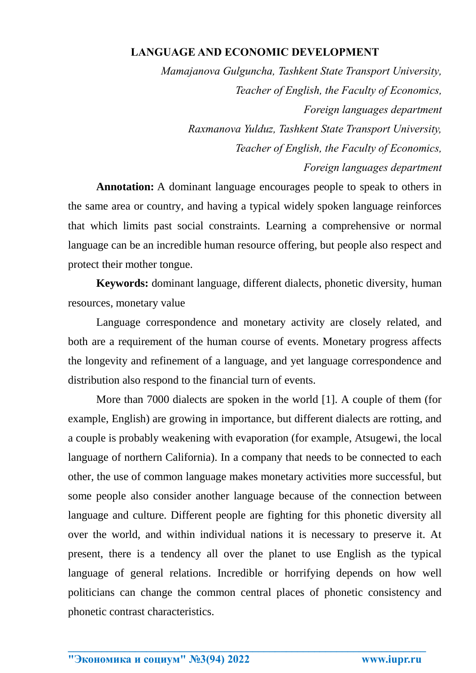## **LANGUAGE AND ECONOMIC DEVELOPMENT**

*Mamajanova Gulguncha, Tashkent State Transport University, Teacher of English, the Faculty of Economics, Foreign languages department Raxmanova Yulduz, Tashkent State Transport University, Teacher of English, the Faculty of Economics, Foreign languages department* 

**Annotation:** A dominant language encourages people to speak to others in the same area or country, and having a typical widely spoken language reinforces that which limits past social constraints. Learning a comprehensive or normal language can be an incredible human resource offering, but people also respect and protect their mother tongue.

**Keywords:** dominant language, different dialects, phonetic diversity, human resources, monetary value

Language correspondence and monetary activity are closely related, and both are a requirement of the human course of events. Monetary progress affects the longevity and refinement of a language, and yet language correspondence and distribution also respond to the financial turn of events.

More than 7000 dialects are spoken in the world [1]. A couple of them (for example, English) are growing in importance, but different dialects are rotting, and a couple is probably weakening with evaporation (for example, Atsugewi, the local language of northern California). In a company that needs to be connected to each other, the use of common language makes monetary activities more successful, but some people also consider another language because of the connection between language and culture. Different people are fighting for this phonetic diversity all over the world, and within individual nations it is necessary to preserve it. At present, there is a tendency all over the planet to use English as the typical language of general relations. Incredible or horrifying depends on how well politicians can change the common central places of phonetic consistency and phonetic contrast characteristics.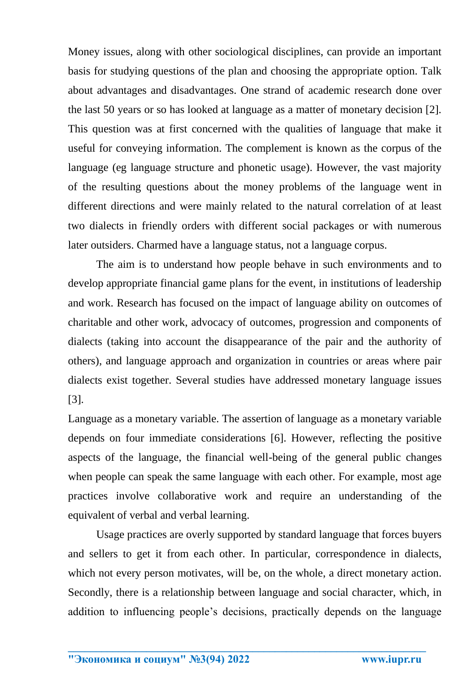Money issues, along with other sociological disciplines, can provide an important basis for studying questions of the plan and choosing the appropriate option. Talk about advantages and disadvantages. One strand of academic research done over the last 50 years or so has looked at language as a matter of monetary decision [2]. This question was at first concerned with the qualities of language that make it useful for conveying information. The complement is known as the corpus of the language (eg language structure and phonetic usage). However, the vast majority of the resulting questions about the money problems of the language went in different directions and were mainly related to the natural correlation of at least two dialects in friendly orders with different social packages or with numerous later outsiders. Charmed have a language status, not a language corpus.

The aim is to understand how people behave in such environments and to develop appropriate financial game plans for the event, in institutions of leadership and work. Research has focused on the impact of language ability on outcomes of charitable and other work, advocacy of outcomes, progression and components of dialects (taking into account the disappearance of the pair and the authority of others), and language approach and organization in countries or areas where pair dialects exist together. Several studies have addressed monetary language issues [3].

Language as a monetary variable. The assertion of language as a monetary variable depends on four immediate considerations [6]. However, reflecting the positive aspects of the language, the financial well-being of the general public changes when people can speak the same language with each other. For example, most age practices involve collaborative work and require an understanding of the equivalent of verbal and verbal learning.

Usage practices are overly supported by standard language that forces buyers and sellers to get it from each other. In particular, correspondence in dialects, which not every person motivates, will be, on the whole, a direct monetary action. Secondly, there is a relationship between language and social character, which, in addition to influencing people's decisions, practically depends on the language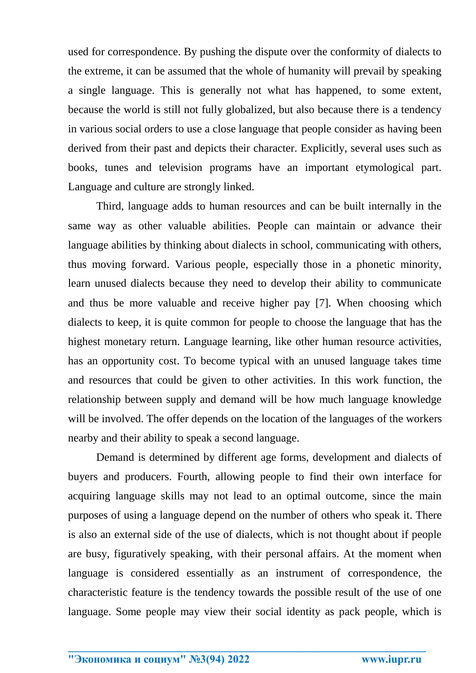used for correspondence. By pushing the dispute over the conformity of dialects to the extreme, it can be assumed that the whole of humanity will prevail by speaking a single language. This is generally not what has happened, to some extent, because the world is still not fully globalized, but also because there is a tendency in various social orders to use a close language that people consider as having been derived from their past and depicts their character. Explicitly, several uses such as books, tunes and television programs have an important etymological part. Language and culture are strongly linked.

Third, language adds to human resources and can be built internally in the same way as other valuable abilities. People can maintain or advance their language abilities by thinking about dialects in school, communicating with others, thus moving forward. Various people, especially those in a phonetic minority, learn unused dialects because they need to develop their ability to communicate and thus be more valuable and receive higher pay [7]. When choosing which dialects to keep, it is quite common for people to choose the language that has the highest monetary return. Language learning, like other human resource activities, has an opportunity cost. To become typical with an unused language takes time and resources that could be given to other activities. In this work function, the relationship between supply and demand will be how much language knowledge will be involved. The offer depends on the location of the languages of the workers nearby and their ability to speak a second language.

Demand is determined by different age forms, development and dialects of buyers and producers. Fourth, allowing people to find their own interface for acquiring language skills may not lead to an optimal outcome, since the main purposes of using a language depend on the number of others who speak it. There is also an external side of the use of dialects, which is not thought about if people are busy, figuratively speaking, with their personal affairs. At the moment when language is considered essentially as an instrument of correspondence, the characteristic feature is the tendency towards the possible result of the use of one language. Some people may view their social identity as pack people, which is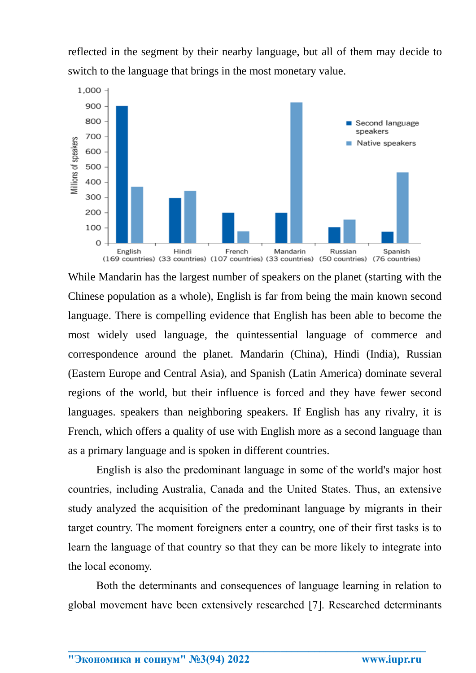reflected in the segment by their nearby language, but all of them may decide to switch to the language that brings in the most monetary value.



While Mandarin has the largest number of speakers on the planet (starting with the Chinese population as a whole), English is far from being the main known second language. There is compelling evidence that English has been able to become the most widely used language, the quintessential language of commerce and correspondence around the planet. Mandarin (China), Hindi (India), Russian (Eastern Europe and Central Asia), and Spanish (Latin America) dominate several regions of the world, but their influence is forced and they have fewer second languages. speakers than neighboring speakers. If English has any rivalry, it is French, which offers a quality of use with English more as a second language than as a primary language and is spoken in different countries.

English is also the predominant language in some of the world's major host countries, including Australia, Canada and the United States. Thus, an extensive study analyzed the acquisition of the predominant language by migrants in their target country. The moment foreigners enter a country, one of their first tasks is to learn the language of that country so that they can be more likely to integrate into the local economy.

Both the determinants and consequences of language learning in relation to global movement have been extensively researched [7]. Researched determinants